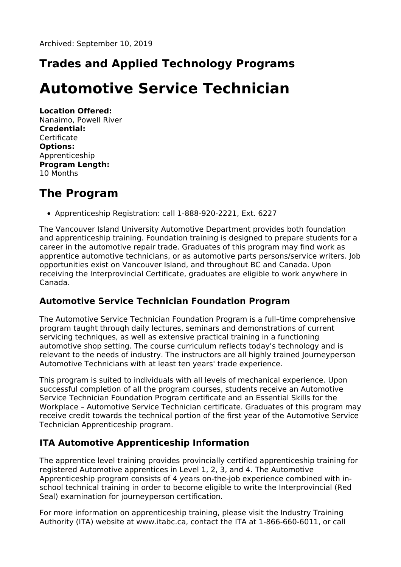# **Trades and Applied Technology Programs**

# **Automotive Service Technician**

**Location Offered:** Nanaimo, Powell River **Credential: Certificate Options:** Apprenticeship **Program Length:** 10 Months

#### **The Program**

Apprenticeship Registration: call 1-888-920-2221, Ext. 6227

The Vancouver Island University Automotive Department provides both foundation and apprenticeship training. Foundation training is designed to prepare students for a career in the automotive repair trade. Graduates of this program may find work as apprentice automotive technicians, or as automotive parts persons/service writers. Job opportunities exist on Vancouver Island, and throughout BC and Canada. Upon receiving the Interprovincial Certificate, graduates are eligible to work anywhere in Canada.

#### **Automotive Service Technician Foundation Program**

The Automotive Service Technician Foundation Program is a full–time comprehensive program taught through daily lectures, seminars and demonstrations of current servicing techniques, as well as extensive practical training in a functioning automotive shop setting. The course curriculum reflects today's technology and is relevant to the needs of industry. The instructors are all highly trained Journeyperson Automotive Technicians with at least ten years' trade experience.

This program is suited to individuals with all levels of mechanical experience. Upon successful completion of all the program courses, students receive an Automotive Service Technician Foundation Program certificate and an Essential Skills for the Workplace – Automotive Service Technician certificate. Graduates of this program may receive credit towards the technical portion of the first year of the Automotive Service Technician Apprenticeship program.

#### **ITA Automotive Apprenticeship Information**

The apprentice level training provides provincially certified apprenticeship training for registered Automotive apprentices in Level 1, 2, 3, and 4. The Automotive Apprenticeship program consists of 4 years on-the-job experience combined with inschool technical training in order to become eligible to write the Interprovincial (Red Seal) examination for journeyperson certification.

For more information on apprenticeship training, please visit the Industry Training Authority (ITA) website at www.itabc.ca, contact the ITA at 1-866-660-6011, or call